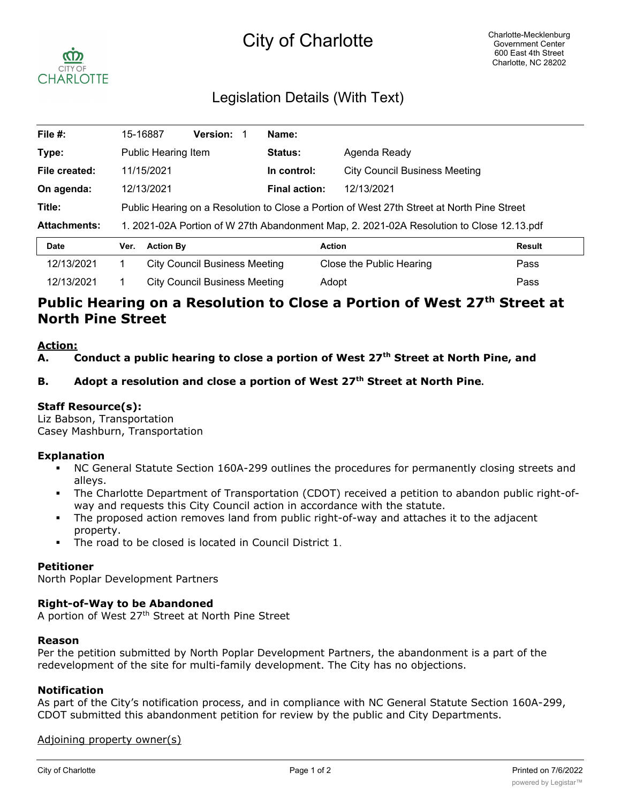# City of Charlotte



### Legislation Details (With Text)

| File #:             |                                                                                            | 15-16887                             | <b>Version:</b> |  | Name:                |                                      |               |  |
|---------------------|--------------------------------------------------------------------------------------------|--------------------------------------|-----------------|--|----------------------|--------------------------------------|---------------|--|
| Type:               | Public Hearing Item                                                                        |                                      |                 |  | Status:              | Agenda Ready                         |               |  |
| File created:       |                                                                                            | 11/15/2021                           |                 |  | In control:          | <b>City Council Business Meeting</b> |               |  |
| On agenda:          |                                                                                            | 12/13/2021                           |                 |  | <b>Final action:</b> | 12/13/2021                           |               |  |
| Title:              | Public Hearing on a Resolution to Close a Portion of West 27th Street at North Pine Street |                                      |                 |  |                      |                                      |               |  |
| <b>Attachments:</b> | 1. 2021-02A Portion of W 27th Abandonment Map, 2. 2021-02A Resolution to Close 12.13.pdf   |                                      |                 |  |                      |                                      |               |  |
| <b>Date</b>         | Ver.                                                                                       | <b>Action By</b>                     |                 |  |                      | <b>Action</b>                        | <b>Result</b> |  |
| 12/13/2021          |                                                                                            | <b>City Council Business Meeting</b> |                 |  |                      | Close the Public Hearing             | Pass          |  |
| 12/13/2021          |                                                                                            | <b>City Council Business Meeting</b> |                 |  |                      | Adopt                                | Pass          |  |

## Public Hearing on a Resolution to Close a Portion of West 27<sup>th</sup> Street at **North Pine Street**

#### **Action:**

**A. Conduct a public hearing to close a portion of West 27th Street at North Pine, and**

#### **B. Adopt a resolution and close a portion of West 27th Street at North Pine.**

#### **Staff Resource(s):**

Liz Babson, Transportation Casey Mashburn, Transportation

#### **Explanation**

- § NC General Statute Section 160A-299 outlines the procedures for permanently closing streets and alleys.
- The Charlotte Department of Transportation (CDOT) received a petition to abandon public right-ofway and requests this City Council action in accordance with the statute.
- The proposed action removes land from public right-of-way and attaches it to the adjacent property.
- The road to be closed is located in Council District 1.

#### **Petitioner**

North Poplar Development Partners

#### **Right-of-Way to be Abandoned**

A portion of West 27<sup>th</sup> Street at North Pine Street

#### **Reason**

Per the petition submitted by North Poplar Development Partners, the abandonment is a part of the redevelopment of the site for multi-family development. The City has no objections.

#### **Notification**

As part of the City's notification process, and in compliance with NC General Statute Section 160A-299, CDOT submitted this abandonment petition for review by the public and City Departments.

#### Adjoining property owner(s)